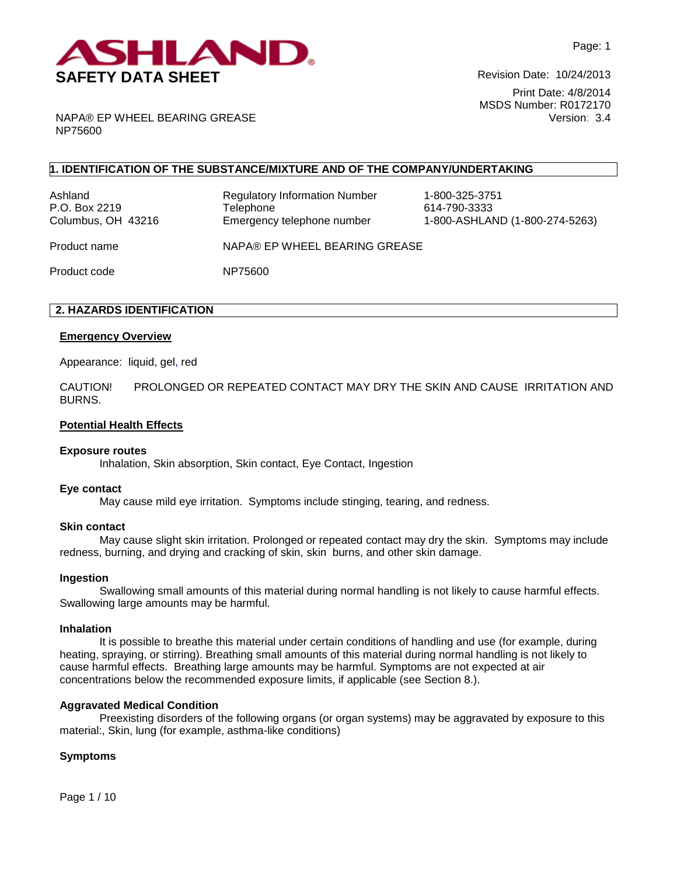

NAPA® EP WHEEL BEARING GREASE NP75600

## **1. IDENTIFICATION OF THE SUBSTANCE/MIXTURE AND OF THE COMPANY/UNDERTAKING**

Ashland Regulatory Information Number 1-800-325-3751 P.O. Box 2219 **Telephone** 614-790-3333

Columbus, OH 43216 Emergency telephone number 1-800-ASHLAND (1-800-274-5263)

Product name NAPA® EP WHEEL BEARING GREASE

Product code NP75600

## **2. HAZARDS IDENTIFICATION**

### **Emergency Overview**

Appearance:liquid, gel, red

CAUTION! PROLONGED OR REPEATED CONTACT MAY DRY THE SKIN AND CAUSE IRRITATION AND BURNS.

### **Potential Health Effects**

#### **Exposure routes**

Inhalation, Skin absorption, Skin contact, Eye Contact, Ingestion

#### **Eye contact**

May cause mild eye irritation. Symptoms include stinging, tearing, and redness.

#### **Skin contact**

May cause slight skin irritation. Prolonged or repeated contact may dry the skin. Symptoms may include redness, burning, and drying and cracking of skin, skin burns, and other skin damage.

#### **Ingestion**

Swallowing small amounts of this material during normal handling is not likely to cause harmful effects. Swallowing large amounts may be harmful.

#### **Inhalation**

It is possible to breathe this material under certain conditions of handling and use (for example, during heating, spraying, or stirring). Breathing small amounts of this material during normal handling is not likely to cause harmful effects. Breathing large amounts may be harmful. Symptoms are not expected at air concentrations below the recommended exposure limits, if applicable (see Section 8.).

## **Aggravated Medical Condition**

Preexisting disorders of the following organs (or organ systems) may be aggravated by exposure to this material:, Skin, lung (for example, asthma-like conditions)

## **Symptoms**

Page 1 / 10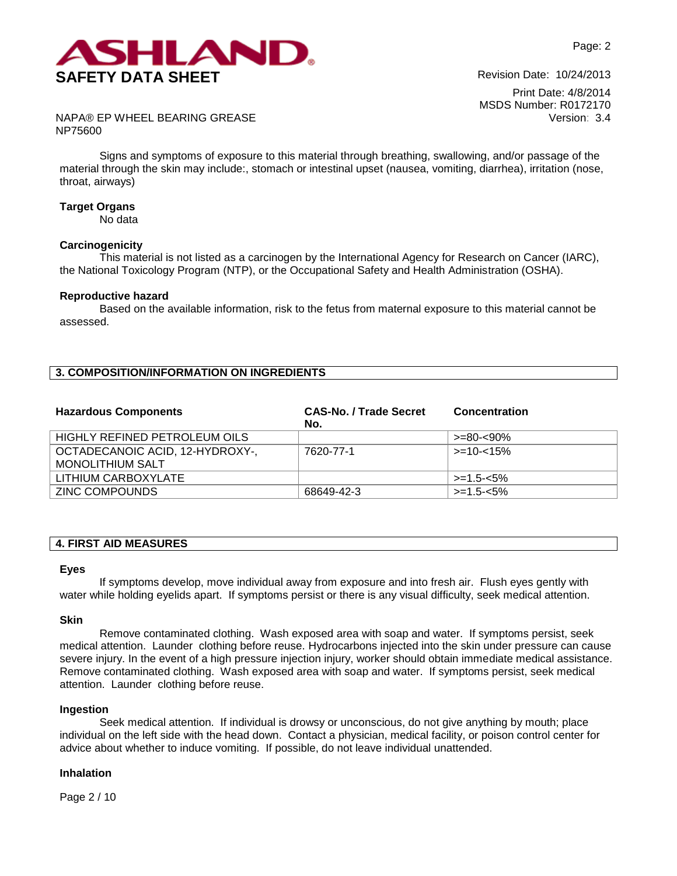

Print Date: 4/8/2014 MSDS Number: R0172170 Version: 3.4

NAPA® EP WHEEL BEARING GREASE NP75600

Signs and symptoms of exposure to this material through breathing, swallowing, and/or passage of the material through the skin may include:, stomach or intestinal upset (nausea, vomiting, diarrhea), irritation (nose, throat, airways)

### **Target Organs**

No data

#### **Carcinogenicity**

This material is not listed as a carcinogen by the International Agency for Research on Cancer (IARC), the National Toxicology Program (NTP), or the Occupational Safety and Health Administration (OSHA).

#### **Reproductive hazard**

Based on the available information, risk to the fetus from maternal exposure to this material cannot be assessed.

## **3. COMPOSITION/INFORMATION ON INGREDIENTS**

| <b>Hazardous Components</b>                                | <b>CAS-No. / Trade Secret</b><br>No. | <b>Concentration</b> |
|------------------------------------------------------------|--------------------------------------|----------------------|
| HIGHLY REFINED PETROLEUM OILS                              |                                      | >=80-<90%            |
| OCTADECANOIC ACID, 12-HYDROXY-,<br><b>MONOLITHIUM SALT</b> | 7620-77-1                            | $>10-15%$            |
| LITHIUM CARBOXYLATE                                        |                                      | $>=1.5 - 5\%$        |
| <b>ZINC COMPOUNDS</b>                                      | 68649-42-3                           | $>=1.5 - 5\%$        |

# **4. FIRST AID MEASURES**

#### **Eyes**

If symptoms develop, move individual away from exposure and into fresh air. Flush eyes gently with water while holding eyelids apart. If symptoms persist or there is any visual difficulty, seek medical attention.

#### **Skin**

Remove contaminated clothing. Wash exposed area with soap and water. If symptoms persist, seek medical attention. Launder clothing before reuse. Hydrocarbons injected into the skin under pressure can cause severe injury. In the event of a high pressure injection injury, worker should obtain immediate medical assistance. Remove contaminated clothing. Wash exposed area with soap and water. If symptoms persist, seek medical attention. Launder clothing before reuse.

#### **Ingestion**

Seek medical attention. If individual is drowsy or unconscious, do not give anything by mouth; place individual on the left side with the head down. Contact a physician, medical facility, or poison control center for advice about whether to induce vomiting. If possible, do not leave individual unattended.

#### **Inhalation**

Page 2 / 10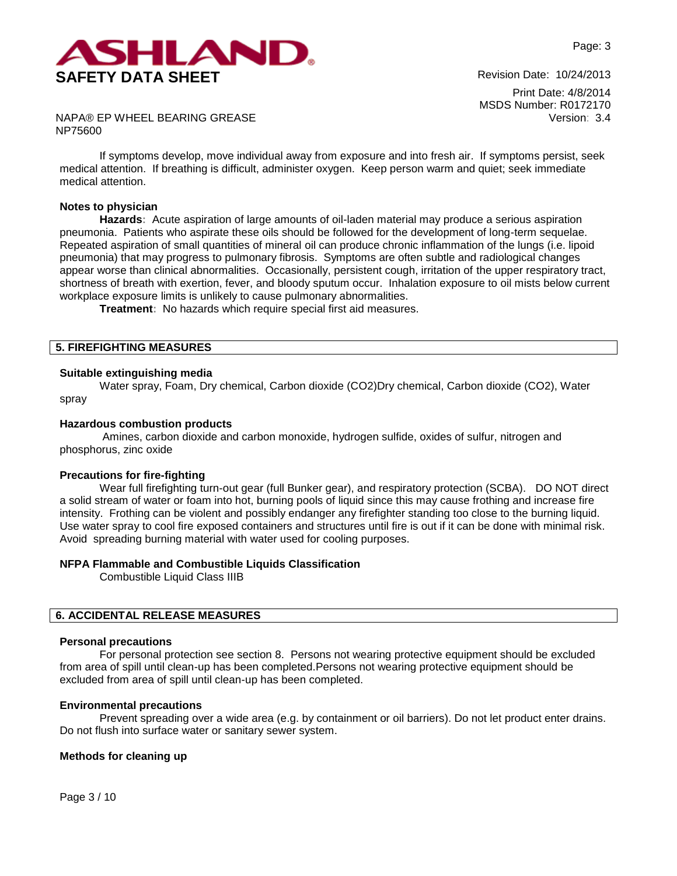

Print Date: 4/8/2014 MSDS Number: R0172170 Version: 3.4

NAPA® EP WHEEL BEARING GREASE NP75600

If symptoms develop, move individual away from exposure and into fresh air. If symptoms persist, seek medical attention. If breathing is difficult, administer oxygen. Keep person warm and quiet; seek immediate medical attention.

#### **Notes to physician**

**Hazards:** Acute aspiration of large amounts of oil-laden material may produce a serious aspiration pneumonia. Patients who aspirate these oils should be followed for the development of long-term sequelae. Repeated aspiration of small quantities of mineral oil can produce chronic inflammation of the lungs (i.e. lipoid pneumonia) that may progress to pulmonary fibrosis. Symptoms are often subtle and radiological changes appear worse than clinical abnormalities. Occasionally, persistent cough, irritation of the upper respiratory tract, shortness of breath with exertion, fever, and bloody sputum occur. Inhalation exposure to oil mists below current workplace exposure limits is unlikely to cause pulmonary abnormalities.

**Treatment:** No hazards which require special first aid measures.

## **5. FIREFIGHTING MEASURES**

#### **Suitable extinguishing media**

Water spray, Foam, Dry chemical, Carbon dioxide (CO2)Dry chemical, Carbon dioxide (CO2), Water spray

#### **Hazardous combustion products**

Amines, carbon dioxide and carbon monoxide, hydrogen sulfide, oxides of sulfur, nitrogen and phosphorus, zinc oxide

#### **Precautions for fire-fighting**

Wear full firefighting turn-out gear (full Bunker gear), and respiratory protection (SCBA). DO NOT direct a solid stream of water or foam into hot, burning pools of liquid since this may cause frothing and increase fire intensity. Frothing can be violent and possibly endanger any firefighter standing too close to the burning liquid. Use water spray to cool fire exposed containers and structures until fire is out if it can be done with minimal risk. Avoid spreading burning material with water used for cooling purposes.

### **NFPA Flammable and Combustible Liquids Classification**

Combustible Liquid Class IIIB

### **6. ACCIDENTAL RELEASE MEASURES**

#### **Personal precautions**

For personal protection see section 8.Persons not wearing protective equipment should be excluded from area of spill until clean-up has been completed.Persons not wearing protective equipment should be excluded from area of spill until clean-up has been completed.

#### **Environmental precautions**

Prevent spreading over a wide area (e.g. by containment or oil barriers). Do not let product enter drains. Do not flush into surface water or sanitary sewer system.

### **Methods for cleaning up**

Page 3 / 10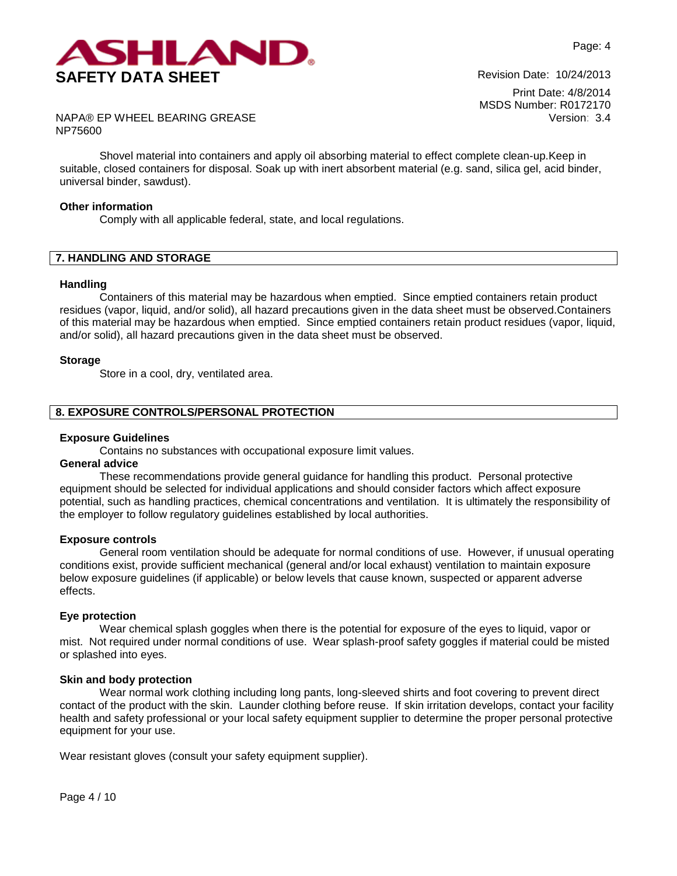

NAPA® EP WHEEL BEARING GREASE NP75600

Shovel material into containers and apply oil absorbing material to effect complete clean-up.Keep in suitable, closed containers for disposal. Soak up with inert absorbent material (e.g. sand, silica gel, acid binder, universal binder, sawdust).

#### **Other information**

Comply with all applicable federal, state, and local regulations.

## **7. HANDLING AND STORAGE**

#### **Handling**

Containers of this material may be hazardous when emptied. Since emptied containers retain product residues (vapor, liquid, and/or solid), all hazard precautions given in the data sheet must be observed.Containers of this material may be hazardous when emptied. Since emptied containers retain product residues (vapor, liquid, and/or solid), all hazard precautions given in the data sheet must be observed.

#### **Storage**

Store in a cool, dry, ventilated area.

### **8. EXPOSURE CONTROLS/PERSONAL PROTECTION**

### **Exposure Guidelines**

Contains no substances with occupational exposure limit values.

# **General advice**

These recommendations provide general guidance for handling this product. Personal protective equipment should be selected for individual applications and should consider factors which affect exposure potential, such as handling practices, chemical concentrations and ventilation. It is ultimately the responsibility of the employer to follow regulatory guidelines established by local authorities.

#### **Exposure controls**

General room ventilation should be adequate for normal conditions of use. However, if unusual operating conditions exist, provide sufficient mechanical (general and/or local exhaust) ventilation to maintain exposure below exposure guidelines (if applicable) or below levels that cause known, suspected or apparent adverse effects.

#### **Eye protection**

Wear chemical splash goggles when there is the potential for exposure of the eyes to liquid, vapor or mist. Not required under normal conditions of use. Wear splash-proof safety goggles if material could be misted or splashed into eyes.

#### **Skin and body protection**

Wear normal work clothing including long pants, long-sleeved shirts and foot covering to prevent direct contact of the product with the skin. Launder clothing before reuse. If skin irritation develops, contact your facility health and safety professional or your local safety equipment supplier to determine the proper personal protective equipment for your use.

Wear resistant gloves (consult your safety equipment supplier).

Page 4 / 10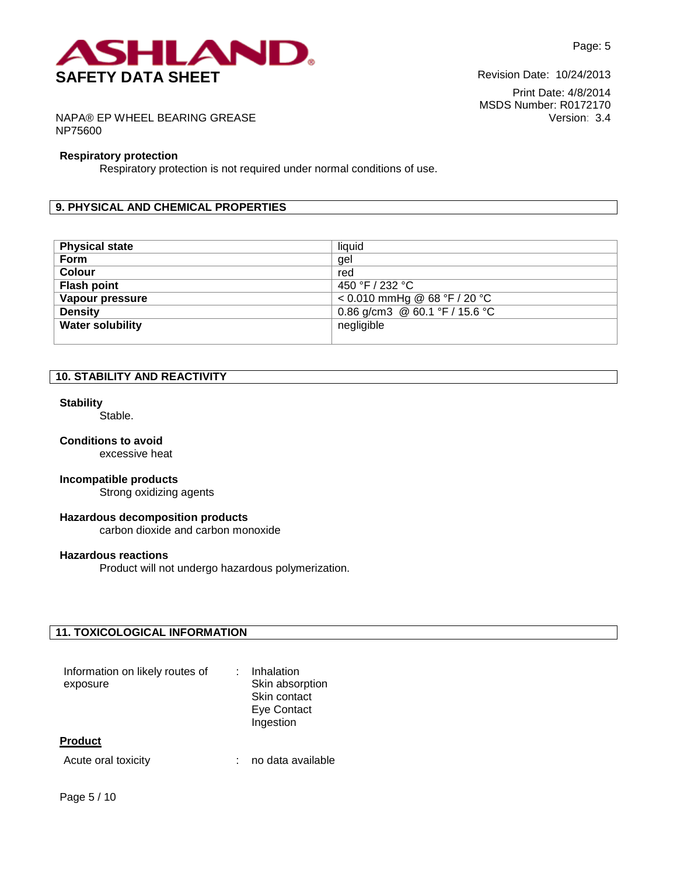

NAPA® EP WHEEL BEARING GREASE NP75600

#### **Respiratory protection**

Respiratory protection is not required under normal conditions of use.

## **9. PHYSICAL AND CHEMICAL PROPERTIES**

| <b>Physical state</b>   | liquid                         |
|-------------------------|--------------------------------|
| Form                    | gel                            |
| <b>Colour</b>           | red                            |
| <b>Flash point</b>      | 450 °F / 232 °C                |
| Vapour pressure         | $< 0.010$ mmHg @ 68 °F / 20 °C |
| <b>Density</b>          | 0.86 g/cm3 @ 60.1 °F / 15.6 °C |
| <b>Water solubility</b> | negligible                     |
|                         |                                |

## **10. STABILITY AND REACTIVITY**

#### **Stability**

Stable.

### **Conditions to avoid**

excessive heat

#### **Incompatible products**

Strong oxidizing agents

## **Hazardous decomposition products**

carbon dioxide and carbon monoxide

## **Hazardous reactions**

Product will not undergo hazardous polymerization.

### **11. TOXICOLOGICAL INFORMATION**

| Information on likely routes of<br>exposure | Inhalation<br>Skin absorption<br>Skin contact<br>Eye Contact<br>Ingestion |
|---------------------------------------------|---------------------------------------------------------------------------|
| <b>Product</b>                              |                                                                           |
| Acute oral toxicity                         | no data available                                                         |

Page 5 / 10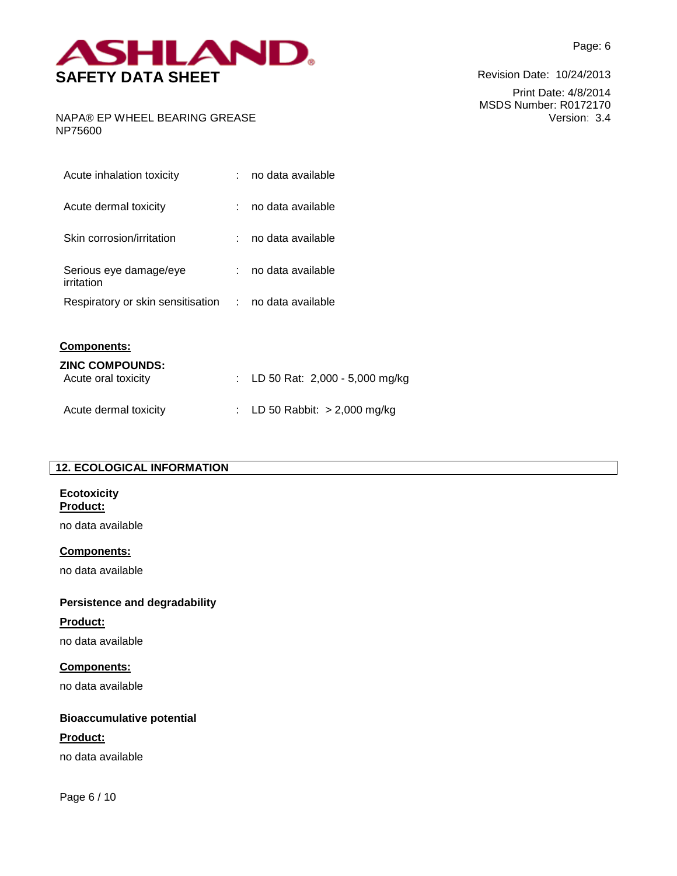

NAPA® EP WHEEL BEARING GREASE NP75600

| Acute inhalation toxicity            |    | no data available |
|--------------------------------------|----|-------------------|
| Acute dermal toxicity                |    | no data available |
| Skin corrosion/irritation            |    | no data available |
| Serious eye damage/eye<br>irritation |    | no data available |
| Respiratory or skin sensitisation    | t. | no data available |
| <b>Components:</b>                   |    |                   |

| <b>ZINC COMPOUNDS:</b><br>Acute oral toxicity | : LD 50 Rat: $2,000 - 5,000$ mg/kg |
|-----------------------------------------------|------------------------------------|
| Acute dermal toxicity                         | : LD 50 Rabbit: $> 2,000$ mg/kg    |

## **12. ECOLOGICAL INFORMATION**

#### **Ecotoxicity Product:**

no data available

## **Components:**

no data available

# **Persistence and degradability**

## **Product:**

no data available

# **Components:**

no data available

# **Bioaccumulative potential**

# **Product:**

no data available

Page 6 / 10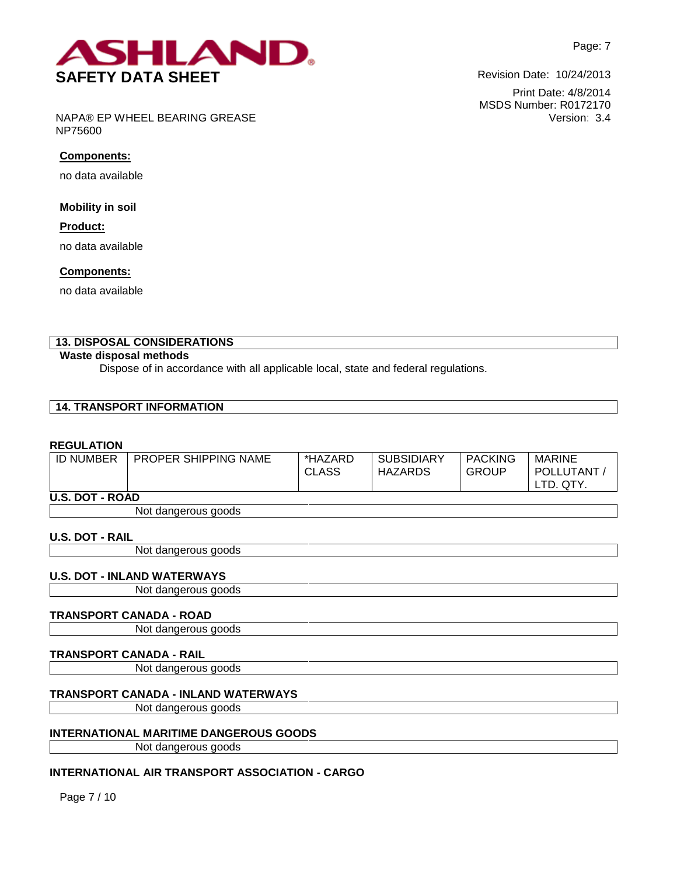

Print Date: 4/8/2014 MSDS Number: R0172170 Version: 3.4

NAPA® EP WHEEL BEARING GREASE NP75600

## **Components:**

no data available

**Mobility in soil**

**Product:**

no data available

## **Components:**

no data available

# **13. DISPOSAL CONSIDERATIONS**

## **Waste disposal methods**

Dispose of in accordance with all applicable local, state and federal regulations.

## **14. TRANSPORT INFORMATION**

## **REGULATION**

| <b>ID NUMBER</b>       | <b>PROPER SHIPPING NAME</b> | *HAZARD<br><b>CLASS</b> | <b>SUBSIDIARY</b><br><b>HAZARDS</b> | <b>PACKING</b><br><b>GROUP</b> | <b>MARINE</b><br>POLLUTANT /<br>LTD. QTY. |
|------------------------|-----------------------------|-------------------------|-------------------------------------|--------------------------------|-------------------------------------------|
| <b>U.S. DOT - ROAD</b> |                             |                         |                                     |                                |                                           |
|                        | Not dangerous goods         |                         |                                     |                                |                                           |
| <b>U.S. DOT - RAIL</b> |                             |                         |                                     |                                |                                           |

Not dangerous goods

## **U.S. DOT - INLAND WATERWAYS**

Not dangerous goods

## **TRANSPORT CANADA - ROAD**

Not dangerous goods

## **TRANSPORT CANADA - RAIL**

Not dangerous goods

# **TRANSPORT CANADA - INLAND WATERWAYS**

Not dangerous goods

## **INTERNATIONAL MARITIME DANGEROUS GOODS**

Not dangerous goods

# **INTERNATIONAL AIR TRANSPORT ASSOCIATION - CARGO**

Page 7 / 10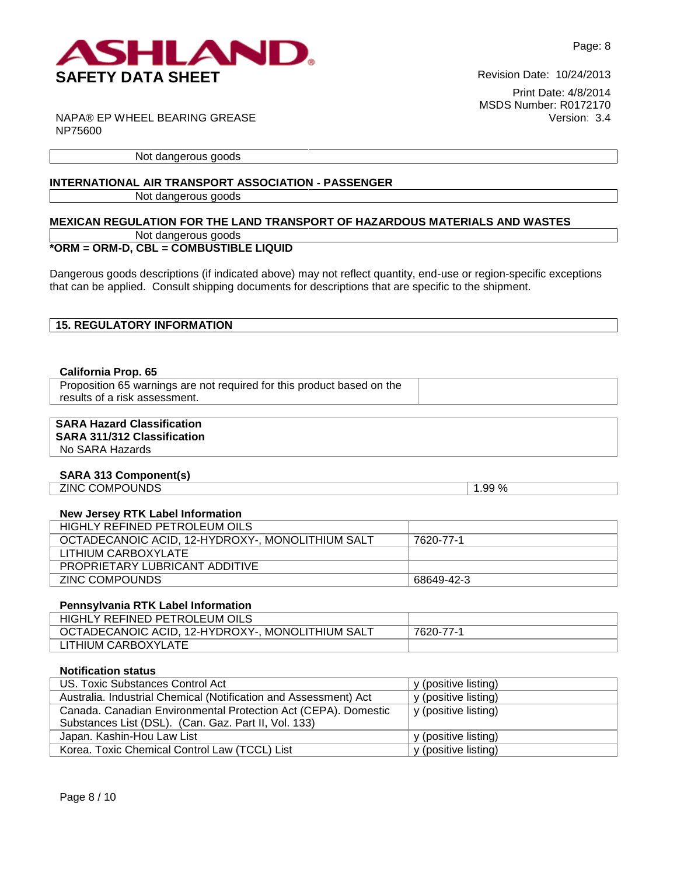

NAPA® EP WHEEL BEARING GREASE NP75600

Not dangerous goods

## **INTERNATIONAL AIR TRANSPORT ASSOCIATION - PASSENGER**

Not dangerous goods

## **MEXICAN REGULATION FOR THE LAND TRANSPORT OF HAZARDOUS MATERIALS AND WASTES** Not dangerous goods

# **\*ORM = ORM-D, CBL = COMBUSTIBLE LIQUID**

Dangerous goods descriptions (if indicated above) may not reflect quantity, end-use or region-specific exceptions that can be applied. Consult shipping documents for descriptions that are specific to the shipment.

| <b>15. REGULATORY INFORMATION</b> |
|-----------------------------------|
|-----------------------------------|

### **California Prop. 65**

Proposition 65 warnings are not required for this product based on the results of a risk assessment.

## **SARA Hazard Classification**

# **SARA 311/312 Classification**

No SARA Hazards

## **SARA 313 Component(s)**

ZINC COMPOUNDS 2.1.1.99 %

## **New Jersey RTK Label Information**

| HIGHLY REFINED PETROLEUM OILS                    |            |
|--------------------------------------------------|------------|
| OCTADECANOIC ACID. 12-HYDROXY-, MONOLITHIUM SALT | 7620-77-1  |
| LITHIUM CARBOXYLATE                              |            |
| <b>PROPRIETARY LUBRICANT ADDITIVE</b>            |            |
| ZINC COMPOUNDS                                   | 68649-42-3 |

## **Pennsylvania RTK Label Information**

| HIGHLY REFINED PETROLEUM OILS                    |           |
|--------------------------------------------------|-----------|
| OCTADECANOIC ACID, 12-HYDROXY-, MONOLITHIUM SALT | 7620-77-1 |
| LITHIUM CARBOXYLATE                              |           |

## **Notification status**

| US. Toxic Substances Control Act                                 | y (positive listing) |
|------------------------------------------------------------------|----------------------|
| Australia. Industrial Chemical (Notification and Assessment) Act | y (positive listing) |
| Canada. Canadian Environmental Protection Act (CEPA). Domestic   | y (positive listing) |
| Substances List (DSL). (Can. Gaz. Part II, Vol. 133)             |                      |
| Japan. Kashin-Hou Law List                                       | y (positive listing) |
| Korea. Toxic Chemical Control Law (TCCL) List                    | y (positive listing) |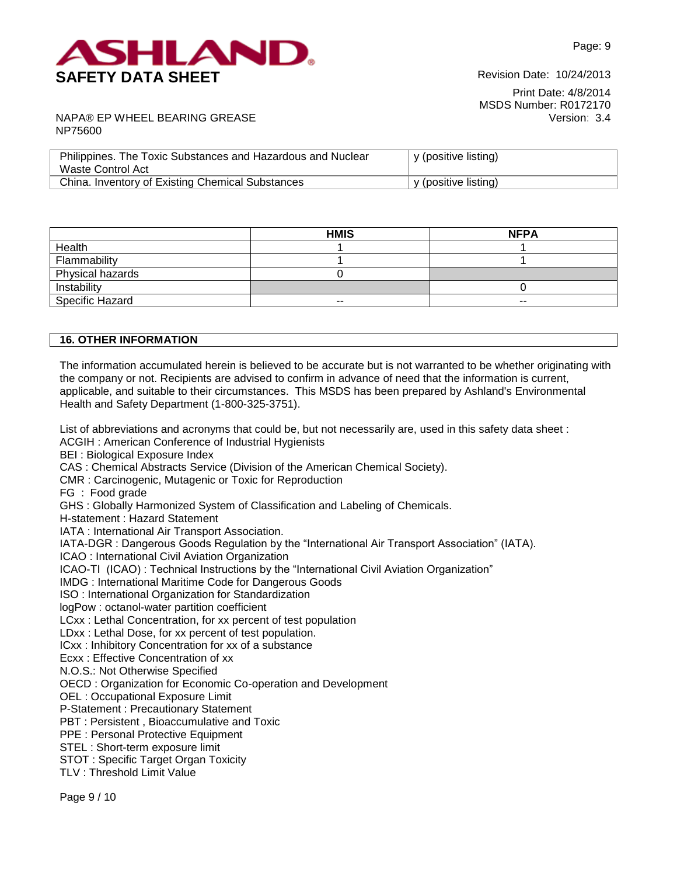

NAPA® EP WHEEL BEARING GREASE NP75600

| Philippines. The Toxic Substances and Hazardous and Nuclear<br>Waste Control Act | y (positive listing) |
|----------------------------------------------------------------------------------|----------------------|
| China. Inventory of Existing Chemical Substances                                 | y (positive listing) |

|                        | <b>HMIS</b> | <b>NFPA</b> |
|------------------------|-------------|-------------|
| Health                 |             |             |
| Flammability           |             |             |
| Physical hazards       |             |             |
| Instability            |             |             |
| <b>Specific Hazard</b> | $- -$       | $- -$       |

### **16. OTHER INFORMATION**

The information accumulated herein is believed to be accurate but is not warranted to be whether originating with the company or not. Recipients are advised to confirm in advance of need that the information is current, applicable, and suitable to their circumstances. This MSDS has been prepared by Ashland's Environmental Health and Safety Department (1-800-325-3751).

List of abbreviations and acronyms that could be, but not necessarily are, used in this safety data sheet : ACGIH : American Conference of Industrial Hygienists BEI : Biological Exposure Index CAS : Chemical Abstracts Service (Division of the American Chemical Society). CMR : Carcinogenic, Mutagenic or Toxic for Reproduction FG : Food grade GHS : Globally Harmonized System of Classification and Labeling of Chemicals. H-statement : Hazard Statement IATA : International Air Transport Association. IATA-DGR : Dangerous Goods Regulation by the "International Air Transport Association" (IATA). ICAO : International Civil Aviation Organization ICAO-TI (ICAO) : Technical Instructions by the "International Civil Aviation Organization" IMDG : International Maritime Code for Dangerous Goods ISO : International Organization for Standardization logPow : octanol-water partition coefficient LCxx : Lethal Concentration, for xx percent of test population LDxx : Lethal Dose, for xx percent of test population. ICxx : Inhibitory Concentration for xx of a substance Ecxx : Effective Concentration of xx N.O.S.: Not Otherwise Specified OECD : Organization for Economic Co-operation and Development OEL : Occupational Exposure Limit P-Statement : Precautionary Statement PBT : Persistent , Bioaccumulative and Toxic PPE : Personal Protective Equipment STEL : Short-term exposure limit

STOT : Specific Target Organ Toxicity

TLV : Threshold Limit Value

Page 9 / 10